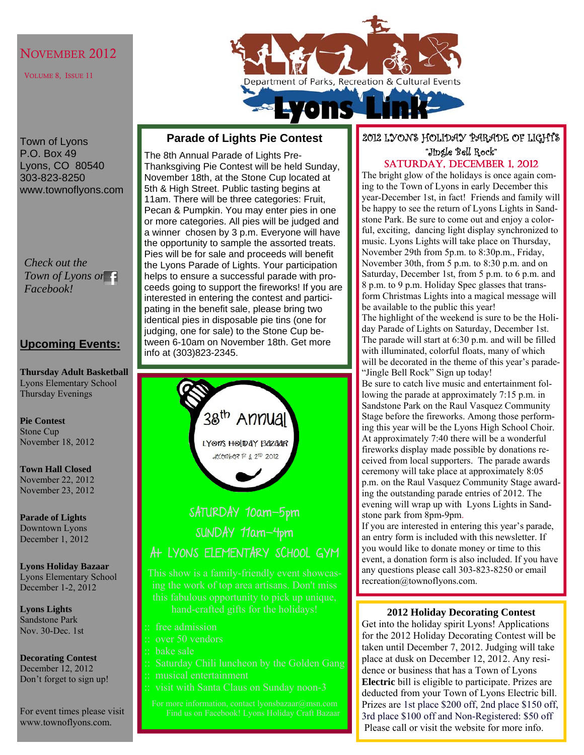### NOVEMBER 2012

VOLUME 8, ISSUE 11



Town of Lyons P.O. Box 49 Lyons, CO 80540 303-823-8250 www.townoflyons.com

*Check out the Town of Lyons on Facebook!* 

### **Upcoming Events:**

**Thursday Adult Basketball**  Lyons Elementary School Thursday Evenings

**Pie Contest**  Stone Cup November 18, 2012

**Town Hall Closed**  November 22, 2012 November 23, 2012

**Parade of Lights**  Downtown Lyons December 1, 2012

#### **Lyons Holiday Bazaar**  Lyons Elementary School December 1-2, 2012

**Lyons Lights**  Sandstone Park Nov. 30-Dec. 1st

**Decorating Contest**  December 12, 2012 Don't forget to sign up!

For event times please visit www.townoflyons.com.

### **Parade of Lights Pie Contest**

The 8th Annual Parade of Lights Pre-Thanksgiving Pie Contest will be held Sunday, November 18th, at the Stone Cup located at 5th & High Street. Public tasting begins at 11am. There will be three categories: Fruit, Pecan & Pumpkin. You may enter pies in one or more categories. All pies will be judged and a winner chosen by 3 p.m. Everyone will have the opportunity to sample the assorted treats. Pies will be for sale and proceeds will benefit the Lyons Parade of Lights. Your participation helps to ensure a successful parade with proceeds going to support the fireworks! If you are interested in entering the contest and participating in the benefit sale, please bring two identical pies in disposable pie tins (one for judging, one for sale) to the Stone Cup between 6-10am on November 18th. Get more info at (303)823-2345.



## 2012 LYONS HOLIDAY PARADE OF LIGHTS "Jingle Bell Rock"

SATURDAY, DECEMBER 1, 2012

The bright glow of the holidays is once again coming to the Town of Lyons in early December this year-December 1st, in fact! Friends and family will be happy to see the return of Lyons Lights in Sandstone Park. Be sure to come out and enjoy a colorful, exciting, dancing light display synchronized to music. Lyons Lights will take place on Thursday, November 29th from 5p.m. to 8:30p.m., Friday, November 30th, from 5 p.m. to 8:30 p.m. and on Saturday, December 1st, from 5 p.m. to 6 p.m. and 8 p.m. to 9 p.m. Holiday Spec glasses that transform Christmas Lights into a magical message will be available to the public this year! The highlight of the weekend is sure to be the Holiday Parade of Lights on Saturday, December 1st. The parade will start at 6:30 p.m. and will be filled with illuminated, colorful floats, many of which will be decorated in the theme of this year's parade- "Jingle Bell Rock" Sign up today! Be sure to catch live music and entertainment following the parade at approximately 7:15 p.m. in Sandstone Park on the Raul Vasquez Community Stage before the fireworks. Among those performing this year will be the Lyons High School Choir. At approximately 7:40 there will be a wonderful fireworks display made possible by donations received from local supporters. The parade awards ceremony will take place at approximately 8:05 p.m. on the Raul Vasquez Community Stage award-

ing the outstanding parade entries of 2012. The evening will wrap up with Lyons Lights in Sandstone park from 8pm-9pm.

If you are interested in entering this year's parade, an entry form is included with this newsletter. If you would like to donate money or time to this event, a donation form is also included. If you have any questions please call 303-823-8250 or email recreation@townoflyons.com.

#### **2012 Holiday Decorating Contest**

Get into the holiday spirit Lyons! Applications for the 2012 Holiday Decorating Contest will be taken until December 7, 2012. Judging will take place at dusk on December 12, 2012. Any residence or business that has a Town of Lyons **Electric** bill is eligible to participate. Prizes are deducted from your Town of Lyons Electric bill. Prizes are 1st place \$200 off, 2nd place \$150 off, 3rd place \$100 off and Non-Registered: \$50 off Please call or visit the website for more info.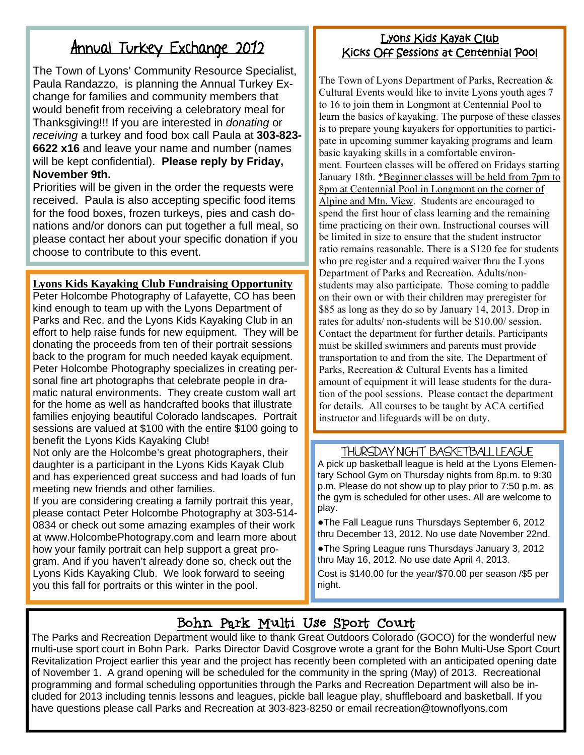## Annual Turkey Exchange 2012

The Town of Lyons' Community Resource Specialist, Paula Randazzo, is planning the Annual Turkey Exchange for families and community members that would benefit from receiving a celebratory meal for Thanksgiving!!! If you are interested in *donating* or *receiving* a turkey and food box call Paula at **303-823- 6622 x16** and leave your name and number (names will be kept confidential). **Please reply by Friday, November 9th.**

Priorities will be given in the order the requests were received. Paula is also accepting specific food items for the food boxes, frozen turkeys, pies and cash donations and/or donors can put together a full meal, so please contact her about your specific donation if you choose to contribute to this event.

### **Lyons Kids Kayaking Club Fundraising Opportunity**

Peter Holcombe Photography of Lafayette, CO has been kind enough to team up with the Lyons Department of Parks and Rec. and the Lyons Kids Kayaking Club in an effort to help raise funds for new equipment. They will be donating the proceeds from ten of their portrait sessions back to the program for much needed kayak equipment. Peter Holcombe Photography specializes in creating personal fine art photographs that celebrate people in dramatic natural environments. They create custom wall art for the home as well as handcrafted books that illustrate families enjoying beautiful Colorado landscapes. Portrait sessions are valued at \$100 with the entire \$100 going to benefit the Lyons Kids Kayaking Club!

Not only are the Holcombe's great photographers, their daughter is a participant in the Lyons Kids Kayak Club and has experienced great success and had loads of fun meeting new friends and other families.

If you are considering creating a family portrait this year, please contact Peter Holcombe Photography at 303-514- 0834 or check out some amazing examples of their work at www.HolcombePhotograpy.com and learn more about how your family portrait can help support a great program. And if you haven't already done so, check out the Lyons Kids Kayaking Club. We look forward to seeing you this fall for portraits or this winter in the pool.

### Lyons Kids Kayak Club Kicks Off Sessions at Centennial Pool

The Town of Lyons Department of Parks, Recreation & Cultural Events would like to invite Lyons youth ages 7 to 16 to join them in Longmont at Centennial Pool to learn the basics of kayaking. The purpose of these classes is to prepare young kayakers for opportunities to participate in upcoming summer kayaking programs and learn basic kayaking skills in a comfortable environment. Fourteen classes will be offered on Fridays starting January 18th. \*Beginner classes will be held from 7pm to 8pm at Centennial Pool in Longmont on the corner of Alpine and Mtn. View. Students are encouraged to spend the first hour of class learning and the remaining time practicing on their own. Instructional courses will be limited in size to ensure that the student instructor ratio remains reasonable. There is a \$120 fee for students who pre register and a required waiver thru the Lyons Department of Parks and Recreation. Adults/nonstudents may also participate. Those coming to paddle on their own or with their children may preregister for \$85 as long as they do so by January 14, 2013. Drop in rates for adults/ non-students will be \$10.00/ session. Contact the department for further details. Participants must be skilled swimmers and parents must provide transportation to and from the site. The Department of Parks, Recreation & Cultural Events has a limited amount of equipment it will lease students for the duration of the pool sessions. Please contact the department for details. All courses to be taught by ACA certified instructor and lifeguards will be on duty.

### THURSDAY NIGHT BASKETBALL LEAGUE

A pick up basketball league is held at the Lyons Elementary School Gym on Thursday nights from 8p.m. to 9:30 p.m. Please do not show up to play prior to 7:50 p.m. as the gym is scheduled for other uses. All are welcome to play.

●The Fall League runs Thursdays September 6, 2012 thru December 13, 2012. No use date November 22nd.

●The Spring League runs Thursdays January 3, 2012 thru May 16, 2012. No use date April 4, 2013.

Cost is \$140.00 for the year/\$70.00 per season /\$5 per night.

## Bohn Park Multi Use Sport Court

The Parks and Recreation Department would like to thank Great Outdoors Colorado (GOCO) for the wonderful new multi-use sport court in Bohn Park. Parks Director David Cosgrove wrote a grant for the Bohn Multi-Use Sport Court Revitalization Project earlier this year and the project has recently been completed with an anticipated opening date of November 1. A grand opening will be scheduled for the community in the spring (May) of 2013. Recreational programming and formal scheduling opportunities through the Parks and Recreation Department will also be included for 2013 including tennis lessons and leagues, pickle ball league play, shuffleboard and basketball. If you have questions please call Parks and Recreation at 303-823-8250 or email recreation@townoflyons.com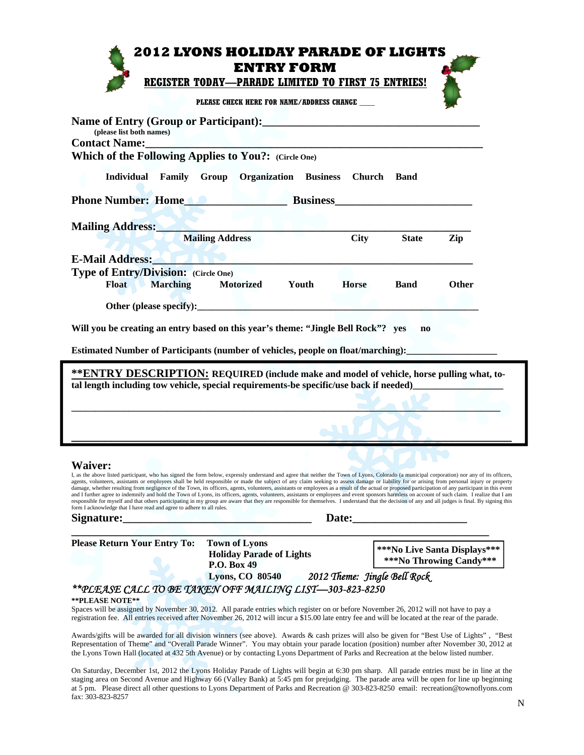|                                                                                                                                                                                                                                                                                                                                                                                                                                                                                                                                                                                                                                                                                                                                                                                                                                                                                                                                                                                                                                                                                                                                                                                                                                                                                                                                                                                                                                                                                                   | <b>2012 LYONS HOLIDAY PARADE OF LIGHTS</b><br><b>ENTRY FORM</b> |              |                        |              |
|---------------------------------------------------------------------------------------------------------------------------------------------------------------------------------------------------------------------------------------------------------------------------------------------------------------------------------------------------------------------------------------------------------------------------------------------------------------------------------------------------------------------------------------------------------------------------------------------------------------------------------------------------------------------------------------------------------------------------------------------------------------------------------------------------------------------------------------------------------------------------------------------------------------------------------------------------------------------------------------------------------------------------------------------------------------------------------------------------------------------------------------------------------------------------------------------------------------------------------------------------------------------------------------------------------------------------------------------------------------------------------------------------------------------------------------------------------------------------------------------------|-----------------------------------------------------------------|--------------|------------------------|--------------|
|                                                                                                                                                                                                                                                                                                                                                                                                                                                                                                                                                                                                                                                                                                                                                                                                                                                                                                                                                                                                                                                                                                                                                                                                                                                                                                                                                                                                                                                                                                   | <b>REGISTER TODAY-PARADE LIMITED TO FIRST 75 ENTRIES!</b>       |              |                        |              |
|                                                                                                                                                                                                                                                                                                                                                                                                                                                                                                                                                                                                                                                                                                                                                                                                                                                                                                                                                                                                                                                                                                                                                                                                                                                                                                                                                                                                                                                                                                   | PLEASE CHECK HERE FOR NAME/ADDRESS CHANGE                       |              |                        |              |
| (please list both names)<br>Contact Name: Name and South Assembly Contact Name and South Assembly Contact Name and South Assembly Contact N                                                                                                                                                                                                                                                                                                                                                                                                                                                                                                                                                                                                                                                                                                                                                                                                                                                                                                                                                                                                                                                                                                                                                                                                                                                                                                                                                       |                                                                 |              |                        |              |
| Which of the Following Applies to You?: (Circle One)                                                                                                                                                                                                                                                                                                                                                                                                                                                                                                                                                                                                                                                                                                                                                                                                                                                                                                                                                                                                                                                                                                                                                                                                                                                                                                                                                                                                                                              |                                                                 |              |                        |              |
| Phone Number: Home Communication Business                                                                                                                                                                                                                                                                                                                                                                                                                                                                                                                                                                                                                                                                                                                                                                                                                                                                                                                                                                                                                                                                                                                                                                                                                                                                                                                                                                                                                                                         | Individual Family Group Organization Business Church            |              | <b>Band</b>            |              |
|                                                                                                                                                                                                                                                                                                                                                                                                                                                                                                                                                                                                                                                                                                                                                                                                                                                                                                                                                                                                                                                                                                                                                                                                                                                                                                                                                                                                                                                                                                   |                                                                 |              |                        |              |
| Mailing Address: Mailing Address: Mailing Address: Mailing Address: Mailing Address: Mailing Address: Mailing Address: Mailing Address: Mailing Address: Mailing Address: Mailing Address: Mailing Address: Mailing Address: M                                                                                                                                                                                                                                                                                                                                                                                                                                                                                                                                                                                                                                                                                                                                                                                                                                                                                                                                                                                                                                                                                                                                                                                                                                                                    | <b>Mailing Address</b>                                          | <b>City</b>  | <b>State</b>           | Zip          |
| E-Mail Address: New York 1988<br><b>Type of Entry/Division:</b> (Circle One)<br><b>Float</b> Marching                                                                                                                                                                                                                                                                                                                                                                                                                                                                                                                                                                                                                                                                                                                                                                                                                                                                                                                                                                                                                                                                                                                                                                                                                                                                                                                                                                                             | <b>Motorized</b><br>Youth                                       | <b>Horse</b> | <b>Band</b>            | <b>Other</b> |
|                                                                                                                                                                                                                                                                                                                                                                                                                                                                                                                                                                                                                                                                                                                                                                                                                                                                                                                                                                                                                                                                                                                                                                                                                                                                                                                                                                                                                                                                                                   |                                                                 |              |                        |              |
|                                                                                                                                                                                                                                                                                                                                                                                                                                                                                                                                                                                                                                                                                                                                                                                                                                                                                                                                                                                                                                                                                                                                                                                                                                                                                                                                                                                                                                                                                                   |                                                                 |              |                        |              |
|                                                                                                                                                                                                                                                                                                                                                                                                                                                                                                                                                                                                                                                                                                                                                                                                                                                                                                                                                                                                                                                                                                                                                                                                                                                                                                                                                                                                                                                                                                   |                                                                 |              | $\mathbf{n}\mathbf{o}$ |              |
|                                                                                                                                                                                                                                                                                                                                                                                                                                                                                                                                                                                                                                                                                                                                                                                                                                                                                                                                                                                                                                                                                                                                                                                                                                                                                                                                                                                                                                                                                                   |                                                                 |              |                        |              |
|                                                                                                                                                                                                                                                                                                                                                                                                                                                                                                                                                                                                                                                                                                                                                                                                                                                                                                                                                                                                                                                                                                                                                                                                                                                                                                                                                                                                                                                                                                   |                                                                 |              |                        |              |
| Will you be creating an entry based on this year's theme: "Jingle Bell Rock"? yes<br>Estimated Number of Participants (number of vehicles, people on float/marching):<br><b>**ENTRY DESCRIPTION: REQUIRED (include make and model of vehicle, horse pulling what, to-</b><br>tal length including tow vehicle, special requirements-be specific/use back if needed)<br><b>Waiver:</b><br>I, as the above listed participant, who has signed the form below, expressly understand and agree that neither the Town of Lyons, Colorado (a municipal corporation) nor any of its officers,<br>agents, volunteers, assistants or employees shall be held responsible or made the subject of any claim seeking to assess damage or liability for or arising from personal injury or property<br>damage, whether resulting from negligence of the Town, its officers, agents, volunteers, assistants or employees as a result of the actual or proposed participation of any participant in this event<br>and I further agree to indemnify and hold the Town of Lyons, its officers, agents, volunteers, assistants or employees and event sponsors harmless on account of such claim. I realize that I am<br>responsible for myself and that others participating in my group are aware that they are responsible for themselves. I understand that the decision of any and all judges is final. By signing this<br>form I acknowledge that I have read and agree to adhere to all rules.<br>Signature: | <u> 1990 - Andrea Maria Albert III (m. 1950)</u>                | Date:        |                        |              |

Spaces will be assigned by November 30, 2012. All parade entries which register on or before November 26, 2012 will not have to pay a registration fee. All entries received after November 26, 2012 will incur a \$15.00 late entry fee and will be located at the rear of the parade.

Awards/gifts will be awarded for all division winners (see above). Awards & cash prizes will also be given for "Best Use of Lights" , "Best Representation of Theme" and "Overall Parade Winner". You may obtain your parade location (position) number after November 30, 2012 at the Lyons Town Hall (located at 432 5th Avenue) or by contacting Lyons Department of Parks and Recreation at the below listed number.

On Saturday, December 1st, 2012 the Lyons Holiday Parade of Lights will begin at 6:30 pm sharp. All parade entries must be in line at the staging area on Second Avenue and Highway 66 (Valley Bank) at 5:45 pm for prejudging. The parade area will be open for line up beginning at 5 pm. Please direct all other questions to Lyons Department of Parks and Recreation @ 303-823-8250 email: recreation@townoflyons.com fax: 303-823-8257